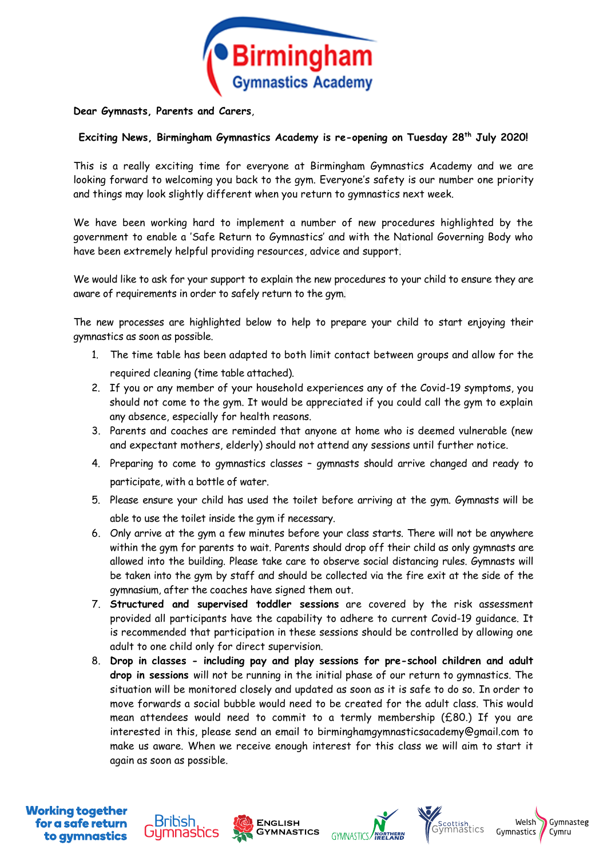

**Dear Gymnasts, Parents and Carers**,

## **Exciting News, Birmingham Gymnastics Academy is re-opening on Tuesday 28th July 2020!**

This is a really exciting time for everyone at Birmingham Gymnastics Academy and we are looking forward to welcoming you back to the gym. Everyone's safety is our number one priority and things may look slightly different when you return to gymnastics next week.

We have been working hard to implement a number of new procedures highlighted by the government to enable a 'Safe Return to Gymnastics' and with the National Governing Body who have been extremely helpful providing resources, advice and support.

We would like to ask for your support to explain the new procedures to your child to ensure they are aware of requirements in order to safely return to the gym.

The new processes are highlighted below to help to prepare your child to start enjoying their gymnastics as soon as possible.

- 1. The time table has been adapted to both limit contact between groups and allow for the required cleaning (time table attached).
- 2. If you or any member of your household experiences any of the Covid-19 symptoms, you should not come to the gym. It would be appreciated if you could call the gym to explain any absence, especially for health reasons.
- 3. Parents and coaches are reminded that anyone at home who is deemed vulnerable (new and expectant mothers, elderly) should not attend any sessions until further notice.
- 4. Preparing to come to gymnastics classes gymnasts should arrive changed and ready to participate, with a bottle of water.
- 5. Please ensure your child has used the toilet before arriving at the gym. Gymnasts will be able to use the toilet inside the gym if necessary.
- 6. Only arrive at the gym a few minutes before your class starts. There will not be anywhere within the gym for parents to wait. Parents should drop off their child as only gymnasts are allowed into the building. Please take care to observe social distancing rules. Gymnasts will be taken into the gym by staff and should be collected via the fire exit at the side of the gymnasium, after the coaches have signed them out.
- 7. **Structured and supervised toddler sessions** are covered by the risk assessment provided all participants have the capability to adhere to current Covid-19 guidance. It is recommended that participation in these sessions should be controlled by allowing one adult to one child only for direct supervision.
- 8. **Drop in classes - including pay and play sessions for pre-school children and adult drop in sessions** will not be running in the initial phase of our return to gymnastics. The situation will be monitored closely and updated as soon as it is safe to do so. In order to move forwards a social bubble would need to be created for the adult class. This would mean attendees would need to commit to a termly membership (£80.) If you are interested in this, please send an email to birminghamgymnasticsacademy@gmail.com to make us aware. When we receive enough interest for this class we will aim to start it again as soon as possible.